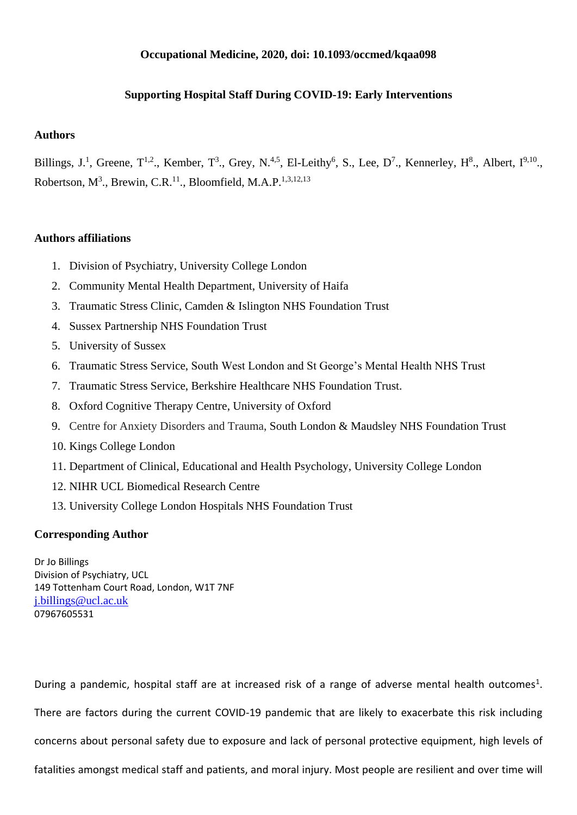## **Occupational Medicine, 2020, doi: 10.1093/occmed/kqaa098**

# **Supporting Hospital Staff During COVID-19: Early Interventions**

## **Authors**

Billings, J.<sup>1</sup>, Greene, T<sup>1,2</sup>., Kember, T<sup>3</sup>., Grey, N.<sup>4,5</sup>, El-Leithy<sup>6</sup>, S., Lee, D<sup>7</sup>., Kennerley, H<sup>8</sup>., Albert, I<sup>9,10</sup>., Robertson,  $M^3$ ., Brewin, C.R.<sup>11</sup>., Bloomfield, M.A.P.<sup>1,3,12,13</sup>

## **Authors affiliations**

- 1. Division of Psychiatry, University College London
- 2. Community Mental Health Department, University of Haifa
- 3. Traumatic Stress Clinic, Camden & Islington NHS Foundation Trust
- 4. Sussex Partnership NHS Foundation Trust
- 5. University of Sussex
- 6. Traumatic Stress Service, South West London and St George's Mental Health NHS Trust
- 7. Traumatic Stress Service, Berkshire Healthcare NHS Foundation Trust.
- 8. Oxford Cognitive Therapy Centre, University of Oxford
- 9. Centre for Anxiety Disorders and Trauma, South London & Maudsley NHS Foundation Trust
- 10. Kings College London
- 11. Department of Clinical, Educational and Health Psychology, University College London
- 12. NIHR UCL Biomedical Research Centre
- 13. University College London Hospitals NHS Foundation Trust

#### **Corresponding Author**

Dr Jo Billings Division of Psychiatry, UCL 149 Tottenham Court Road, London, W1T 7NF [j.billings@ucl.ac.uk](mailto:j.billings@ucl.ac.uk) 07967605531

During a pandemic, hospital staff are at increased risk of a range of adverse mental health outcomes<sup>1</sup>. There are factors during the current COVID-19 pandemic that are likely to exacerbate this risk including concerns about personal safety due to exposure and lack of personal protective equipment, high levels of fatalities amongst medical staff and patients, and moral injury. Most people are resilient and over time will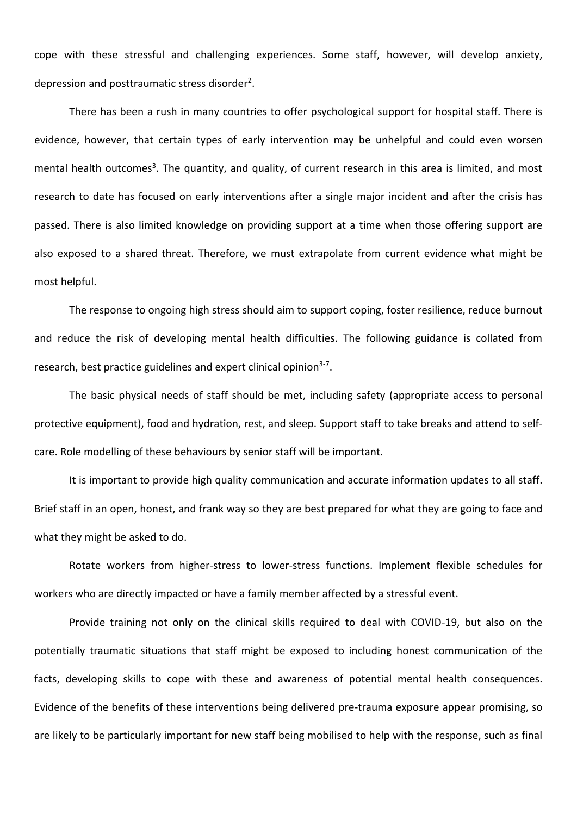cope with these stressful and challenging experiences. Some staff, however, will develop anxiety, depression and posttraumatic stress disorder<sup>2</sup>.

There has been a rush in many countries to offer psychological support for hospital staff. There is evidence, however, that certain types of early intervention may be unhelpful and could even worsen mental health outcomes<sup>3</sup>. The quantity, and quality, of current research in this area is limited, and most research to date has focused on early interventions after a single major incident and after the crisis has passed. There is also limited knowledge on providing support at a time when those offering support are also exposed to a shared threat. Therefore, we must extrapolate from current evidence what might be most helpful.

The response to ongoing high stress should aim to support coping, foster resilience, reduce burnout and reduce the risk of developing mental health difficulties. The following guidance is collated from research, best practice guidelines and expert clinical opinion<sup>3-7</sup>.

The basic physical needs of staff should be met, including safety (appropriate access to personal protective equipment), food and hydration, rest, and sleep. Support staff to take breaks and attend to selfcare. Role modelling of these behaviours by senior staff will be important.

It is important to provide high quality communication and accurate information updates to all staff. Brief staff in an open, honest, and frank way so they are best prepared for what they are going to face and what they might be asked to do.

Rotate workers from higher-stress to lower-stress functions. Implement flexible schedules for workers who are directly impacted or have a family member affected by a stressful event.

Provide training not only on the clinical skills required to deal with COVID-19, but also on the potentially traumatic situations that staff might be exposed to including honest communication of the facts, developing skills to cope with these and awareness of potential mental health consequences. Evidence of the benefits of these interventions being delivered pre-trauma exposure appear promising, so are likely to be particularly important for new staff being mobilised to help with the response, such as final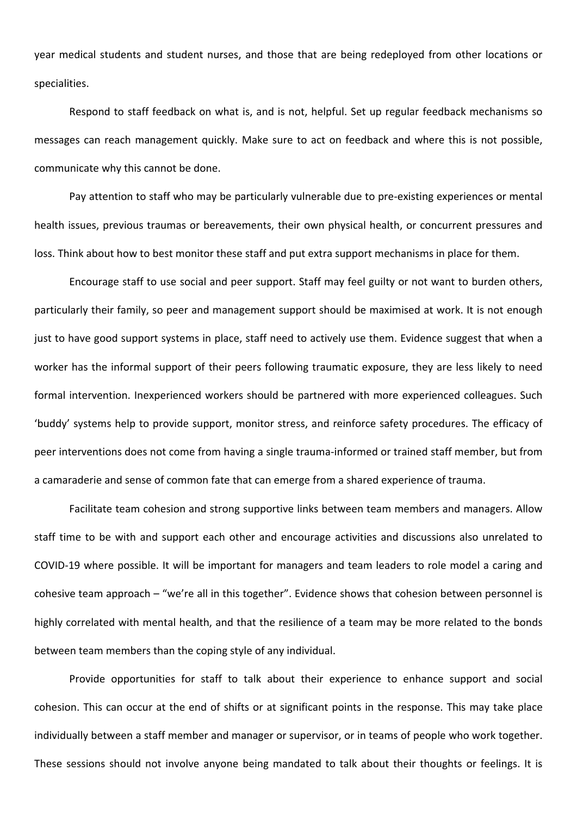year medical students and student nurses, and those that are being redeployed from other locations or specialities.

Respond to staff feedback on what is, and is not, helpful. Set up regular feedback mechanisms so messages can reach management quickly. Make sure to act on feedback and where this is not possible, communicate why this cannot be done.

Pay attention to staff who may be particularly vulnerable due to pre-existing experiences or mental health issues, previous traumas or bereavements, their own physical health, or concurrent pressures and loss. Think about how to best monitor these staff and put extra support mechanisms in place for them.

Encourage staff to use social and peer support. Staff may feel guilty or not want to burden others, particularly their family, so peer and management support should be maximised at work. It is not enough just to have good support systems in place, staff need to actively use them. Evidence suggest that when a worker has the informal support of their peers following traumatic exposure, they are less likely to need formal intervention. Inexperienced workers should be partnered with more experienced colleagues. Such 'buddy' systems help to provide support, monitor stress, and reinforce safety procedures. The efficacy of peer interventions does not come from having a single trauma-informed or trained staff member, but from a camaraderie and sense of common fate that can emerge from a shared experience of trauma.

Facilitate team cohesion and strong supportive links between team members and managers. Allow staff time to be with and support each other and encourage activities and discussions also unrelated to COVID-19 where possible. It will be important for managers and team leaders to role model a caring and cohesive team approach – "we're all in this together". Evidence shows that cohesion between personnel is highly correlated with mental health, and that the resilience of a team may be more related to the bonds between team members than the coping style of any individual.

Provide opportunities for staff to talk about their experience to enhance support and social cohesion. This can occur at the end of shifts or at significant points in the response. This may take place individually between a staff member and manager or supervisor, or in teams of people who work together. These sessions should not involve anyone being mandated to talk about their thoughts or feelings. It is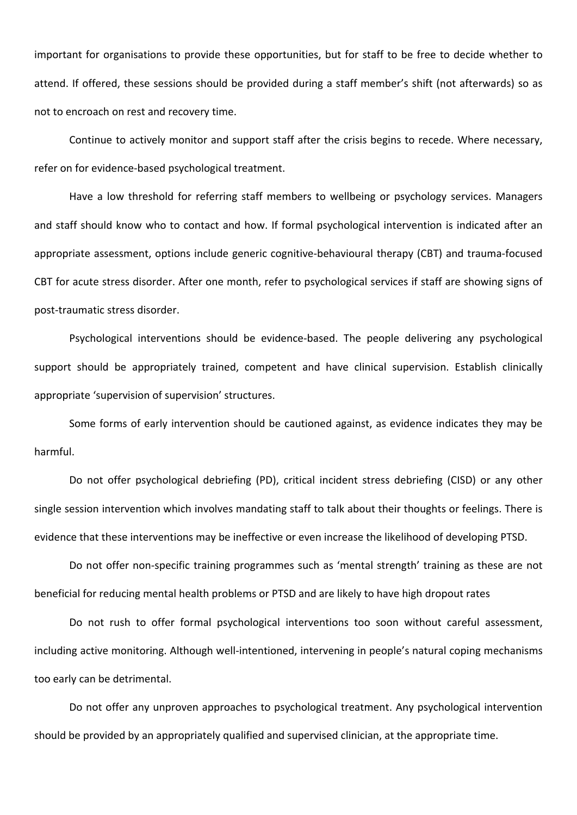important for organisations to provide these opportunities, but for staff to be free to decide whether to attend. If offered, these sessions should be provided during a staff member's shift (not afterwards) so as not to encroach on rest and recovery time.

Continue to actively monitor and support staff after the crisis begins to recede. Where necessary, refer on for evidence-based psychological treatment.

Have a low threshold for referring staff members to wellbeing or psychology services. Managers and staff should know who to contact and how. If formal psychological intervention is indicated after an appropriate assessment, options include generic cognitive-behavioural therapy (CBT) and trauma-focused CBT for acute stress disorder. After one month, refer to psychological services if staff are showing signs of post-traumatic stress disorder.

Psychological interventions should be evidence-based. The people delivering any psychological support should be appropriately trained, competent and have clinical supervision. Establish clinically appropriate 'supervision of supervision' structures.

Some forms of early intervention should be cautioned against, as evidence indicates they may be harmful.

Do not offer psychological debriefing (PD), critical incident stress debriefing (CISD) or any other single session intervention which involves mandating staff to talk about their thoughts or feelings. There is evidence that these interventions may be ineffective or even increase the likelihood of developing PTSD.

Do not offer non-specific training programmes such as 'mental strength' training as these are not beneficial for reducing mental health problems or PTSD and are likely to have high dropout rates

Do not rush to offer formal psychological interventions too soon without careful assessment, including active monitoring. Although well-intentioned, intervening in people's natural coping mechanisms too early can be detrimental.

Do not offer any unproven approaches to psychological treatment. Any psychological intervention should be provided by an appropriately qualified and supervised clinician, at the appropriate time.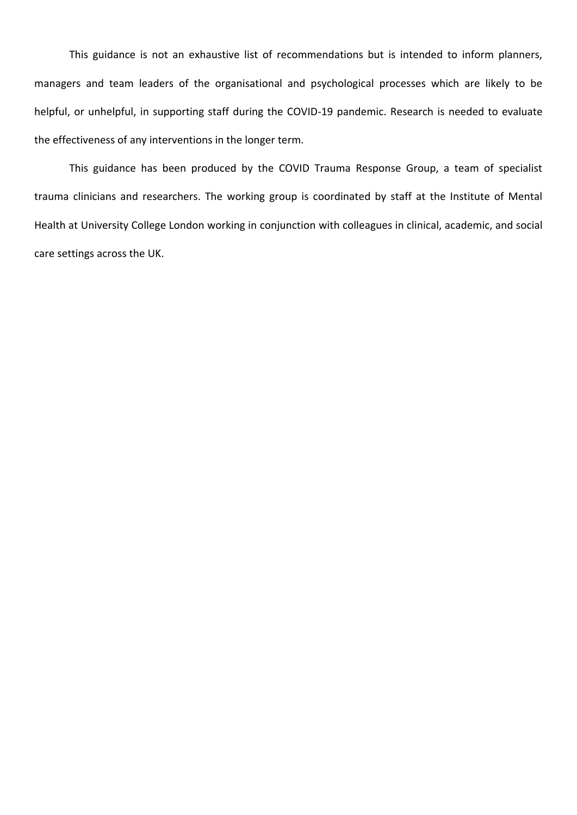This guidance is not an exhaustive list of recommendations but is intended to inform planners, managers and team leaders of the organisational and psychological processes which are likely to be helpful, or unhelpful, in supporting staff during the COVID-19 pandemic. Research is needed to evaluate the effectiveness of any interventions in the longer term.

This guidance has been produced by the COVID Trauma Response Group, a team of specialist trauma clinicians and researchers. The working group is coordinated by staff at the Institute of Mental Health at University College London working in conjunction with colleagues in clinical, academic, and social care settings across the UK.